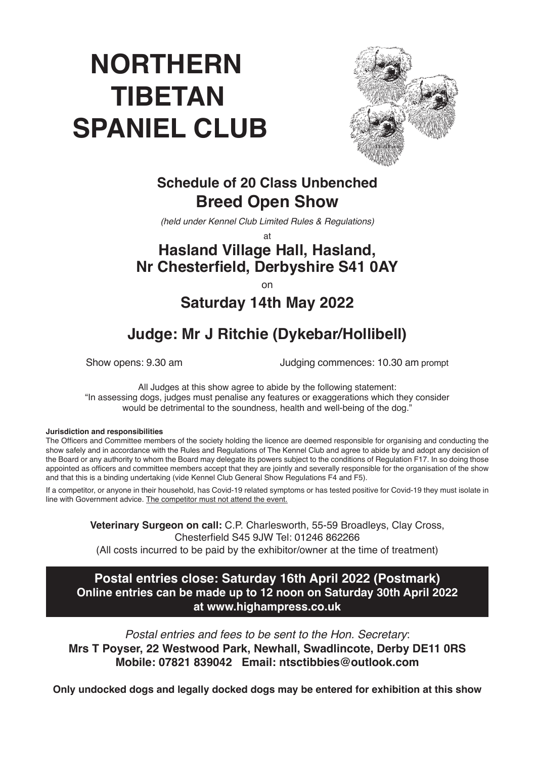# **NORTHERN TIBETAN SPANIEL CLUB**



# **Schedule of 20 Class Unbenched Breed Open Show**

*(held under Kennel Club Limited Rules & Regulations)*

at

# **Hasland Village Hall, Hasland, Nr Chesterfield, Derbyshire S41 0AY**

on

**Saturday 14th May 2022**

# **Judge: Mr J Ritchie (Dykebar/Hollibell)**

Show opens: 9.30 am Judging commences: 10.30 am prompt

All Judges at this show agree to abide by the following statement: "In assessing dogs, judges must penalise any features or exaggerations which they consider would be detrimental to the soundness, health and well-being of the dog."

#### **Jurisdiction and responsibilities**

The Officers and Committee members of the society holding the licence are deemed responsible for organising and conducting the show safely and in accordance with the Rules and Regulations of The Kennel Club and agree to abide by and adopt any decision of the Board or any authority to whom the Board may delegate its powers subject to the conditions of Regulation F17. In so doing those appointed as officers and committee members accept that they are jointly and severally responsible for the organisation of the show and that this is a binding undertaking (vide Kennel Club General Show Regulations F4 and F5).

If a competitor, or anyone in their household, has Covid-19 related symptoms or has tested positive for Covid-19 they must isolate in line with Government advice. The competitor must not attend the event.

> **Veterinary Surgeon on call:** C.P. Charlesworth, 55-59 Broadleys, Clay Cross, Chesterfield S45 9JW Tel: 01246 862266

(All costs incurred to be paid by the exhibitor/owner at the time of treatment)

#### **Postal entries close: Saturday 16th April 2022 (Postmark) Online entries can be made up to 12 noon on Saturday 30th April 2022 at www.highampress.co.uk**

*Postal entries and fees to be sent to the Hon. Secretary*: **Mrs T Poyser, 22 Westwood Park, Newhall, Swadlincote, Derby DE11 0RS Mobile: 07821 839042 Email: ntsctibbies@outlook.com**

**Only undocked dogs and legally docked dogs may be entered for exhibition at this show**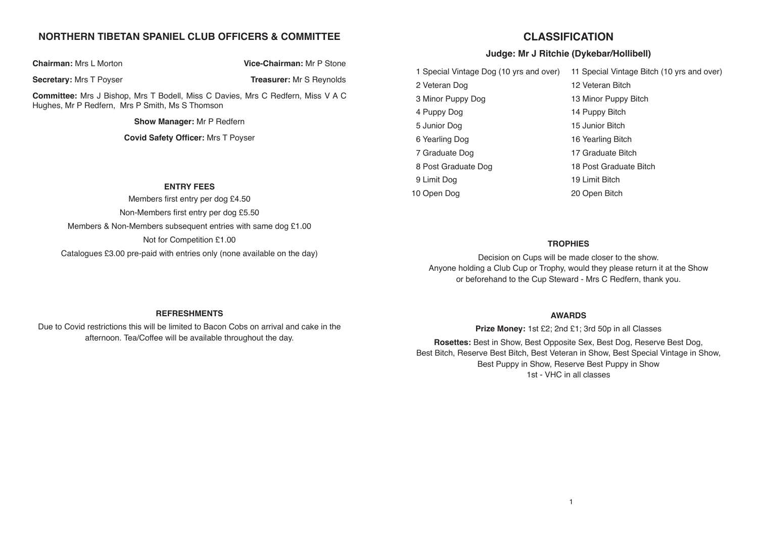## **NORTHERN TIBETAN SPANIEL CLUB OFFICERS & COMMITTEE**

**Chairman:** Mrs L Morton **Vice-Chairman:** Mr P Stone

#### **Secretary:** Mrs T Poyser **Treasurer:** Mr S Reynolds

**Committee:** Mrs J Bishop, Mrs T Bodell, Miss C Davies, Mrs C Redfern, Miss V A C Hughes, Mr P Redfern, Mrs P Smith, Ms S Thomson

**Show Manager:** Mr P Redfern

**Covid Safety Officer:** Mrs T Poyser

#### **ENTRY FEES**

Members first entry per dog £4.50 Non-Members first entry per dog £5.50 Members & Non-Members subsequent entries with same dog £1.00 Not for Competition £1.00 Catalogues £3.00 pre-paid with entries only (none available on the day)

# **CLASSIFICATION**

## **Judge: Mr J Ritchie (Dykebar/Hollibell)**

| 1 Special Vintage Dog (10 yrs and over) | 11 Special Vintage Bitch (10 yrs and over) |
|-----------------------------------------|--------------------------------------------|
| 2 Veteran Dog                           | 12 Veteran Bitch                           |
| 3 Minor Puppy Dog                       | 13 Minor Puppy Bitch                       |
| 4 Puppy Dog                             | 14 Puppy Bitch                             |
| 5 Junior Dog                            | 15 Junior Bitch                            |
| 6 Yearling Dog                          | 16 Yearling Bitch                          |
| 7 Graduate Dog                          | 17 Graduate Bitch                          |
| 8 Post Graduate Dog                     | 18 Post Graduate Bitch                     |
| 9 Limit Dog                             | 19 Limit Bitch                             |
| 10 Open Dog                             | 20 Open Bitch                              |

#### **TROPHIES**

Decision on Cups will be made closer to the show. Anyone holding a Club Cup or Trophy, would they please return it at the Show or beforehand to the Cup Steward - Mrs C Redfern, thank you.

#### **REFRESHMENTS**

Due to Covid restrictions this will be limited to Bacon Cobs on arrival and cake in the afternoon. Tea/Coffee will be available throughout the day.

#### **AWARDS**

**Prize Money:** 1st £2; 2nd £1; 3rd 50p in all Classes

**Rosettes:** Best in Show, Best Opposite Sex, Best Dog, Reserve Best Dog, Best Bitch, Reserve Best Bitch, Best Veteran in Show, Best Special Vintage in Show, Best Puppy in Show, Reserve Best Puppy in Show 1st - VHC in all classes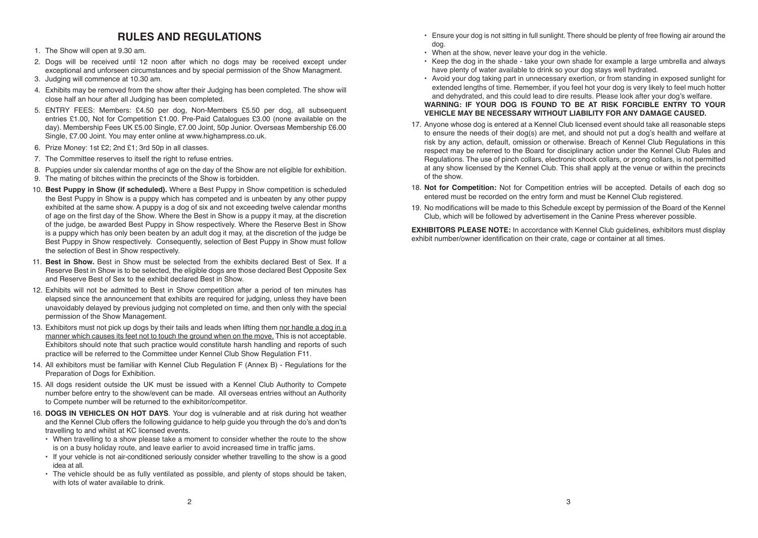# **RULES AND REGULATIONS**

#### 1. The Show will open at 9.30 am.

- 2. Dogs will be received until 12 noon after which no dogs may be received except under exceptional and unforseen circumstances and by special permission of the Show Managment.
- 3. Judging will commence at 10.30 am.
- 4. Exhibits may be removed from the show after their Judging has been completed. The show will close half an hour after all Judging has been completed.
- 5. ENTRY FEES: Members: £4.50 per dog, Non-Members £5.50 per dog, all subsequent entries £1.00, Not for Competition £1.00. Pre-Paid Catalogues £3.00 (none available on the day). Membership Fees UK £5.00 Single, £7.00 Joint, 50p Junior. Overseas Membership £6.00 Single, £7.00 Joint. You may enter online at www.highampress.co.uk.
- 6. Prize Money: 1st £2; 2nd £1; 3rd 50p in all classes.
- 7. The Committee reserves to itself the right to refuse entries.
- 8. Puppies under six calendar months of age on the day of the Show are not eligible for exhibition.
- 9. The mating of bitches within the precincts of the Show is forbidden.
- 10. **Best Puppy in Show (if scheduled).** Where a Best Puppy in Show competition is scheduled the Best Puppy in Show is a puppy which has competed and is unbeaten by any other puppy exhibited at the same show. A puppy is a dog of six and not exceeding twelve calendar months of age on the first day of the Show. Where the Best in Show is a puppy it may, at the discretion of the judge, be awarded Best Puppy in Show respectively. Where the Reserve Best in Show is a puppy which has only been beaten by an adult dog it may, at the discretion of the judge be Best Puppy in Show respectively. Consequently, selection of Best Puppy in Show must follow the selection of Best in Show respectively.
- 11. **Best in Show.** Best in Show must be selected from the exhibits declared Best of Sex. If a Reserve Best in Show is to be selected, the eligible dogs are those declared Best Opposite Sex and Reserve Best of Sex to the exhibit declared Best in Show.
- 12. Exhibits will not be admitted to Best in Show competition after a period of ten minutes has elapsed since the announcement that exhibits are required for judging, unless they have been unavoidably delayed by previous judging not completed on time, and then only with the special permission of the Show Management.
- 13. Exhibitors must not pick up dogs by their tails and leads when lifting them nor handle a dog in a manner which causes its feet not to touch the ground when on the move. This is not acceptable. Exhibitors should note that such practice would constitute harsh handling and reports of such practice will be referred to the Committee under Kennel Club Show Regulation F11.
- 14. All exhibitors must be familiar with Kennel Club Regulation F (Annex B) Regulations for the Preparation of Dogs for Exhibition.
- 15. All dogs resident outside the UK must be issued with a Kennel Club Authority to Compete number before entry to the show/event can be made. All overseas entries without an Authority to Compete number will be returned to the exhibitor/competitor.
- 16. **DOGS IN VEHICLES ON HOT DAYS**. Your dog is vulnerable and at risk during hot weather and the Kennel Club offers the following guidance to help guide you through the do's and don'ts travelling to and whilst at KC licensed events.
	- When travelling to a show please take a moment to consider whether the route to the show is on a busy holiday route, and leave earlier to avoid increased time in traffic jams.
	- If your vehicle is not air-conditioned seriously consider whether travelling to the show is a good idea at all.
	- The vehicle should be as fully ventilated as possible, and plenty of stops should be taken, with lots of water available to drink.
- Ensure your dog is not sitting in full sunlight. There should be plenty of free flowing air around the dog.
- When at the show, never leave your dog in the vehicle.
- Keep the dog in the shade take your own shade for example a large umbrella and always have plenty of water available to drink so your dog stays well hydrated.
- Avoid your dog taking part in unnecessary exertion, or from standing in exposed sunlight for extended lengths of time. Remember, if you feel hot your dog is very likely to feel much hotter and dehydrated, and this could lead to dire results. Please look after your dog's welfare. **WARNING: IF YOUR DOG IS FOUND TO BE AT RISK FORCIBLE ENTRY TO YOUR VEHICLE MAY BE NECESSARY WITHOUT LIABILITY FOR ANY DAMAGE CAUSED.**
- 17. Anyone whose dog is entered at a Kennel Club licensed event should take all reasonable steps to ensure the needs of their dog(s) are met, and should not put a dog's health and welfare at risk by any action, default, omission or otherwise. Breach of Kennel Club Regulations in this respect may be referred to the Board for disciplinary action under the Kennel Club Rules and Regulations. The use of pinch collars, electronic shock collars, or prong collars, is not permitted at any show licensed by the Kennel Club. This shall apply at the venue or within the precincts of the show.
- 18. **Not for Competition:** Not for Competition entries will be accepted. Details of each dog so entered must be recorded on the entry form and must be Kennel Club registered.
- 19. No modifications will be made to this Schedule except by permission of the Board of the Kennel Club, which will be followed by advertisement in the Canine Press wherever possible.

**EXHIBITORS PLEASE NOTE:** In accordance with Kennel Club guidelines, exhibitors must display exhibit number/owner identification on their crate, cage or container at all times.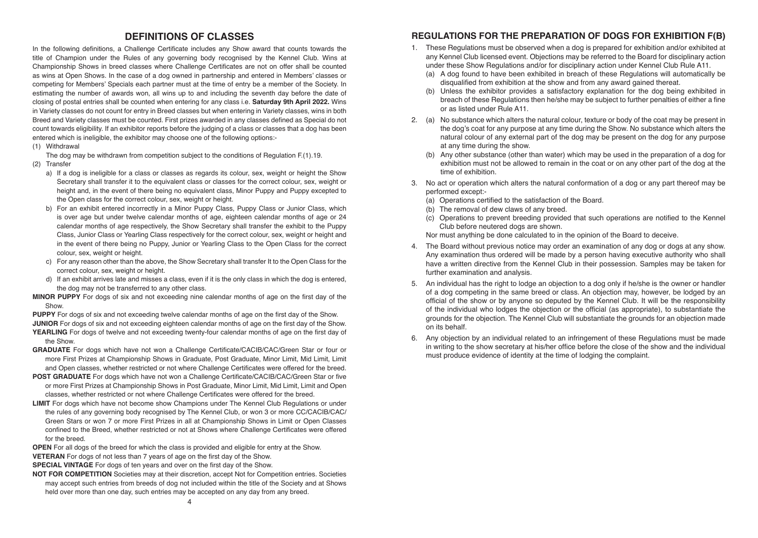## **DEFINITIONS OF CLASSES**

In the following definitions, a Challenge Certificate includes any Show award that counts towards the title of Champion under the Rules of any governing body recognised by the Kennel Club. Wins at Championship Shows in breed classes where Challenge Certificates are not on offer shall be counted as wins at Open Shows. In the case of a dog owned in partnership and entered in Members' classes or competing for Members' Specials each partner must at the time of entry be a member of the Society. In estimating the number of awards won, all wins up to and including the seventh day before the date of closing of postal entries shall be counted when entering for any class i.e. **Saturday 9th April 2022.** Wins in Variety classes do not count for entry in Breed classes but when entering in Variety classes, wins in both Breed and Variety classes must be counted. First prizes awarded in any classes defined as Special do not count towards eligibility. If an exhibitor reports before the judging of a class or classes that a dog has been entered which is ineligible, the exhibitor may choose one of the following options:-

(1) Withdrawal

The dog may be withdrawn from competition subject to the conditions of Regulation F.(1).19.

- (2) Transfer
	- a) If a dog is ineligible for a class or classes as regards its colour, sex, weight or height the Show Secretary shall transfer it to the equivalent class or classes for the correct colour, sex, weight or height and, in the event of there being no equivalent class, Minor Puppy and Puppy excepted to the Open class for the correct colour, sex, weight or height.
	- b) For an exhibit entered incorrectly in a Minor Puppy Class, Puppy Class or Junior Class, which is over age but under twelve calendar months of age, eighteen calendar months of age or 24 calendar months of age respectively, the Show Secretary shall transfer the exhibit to the Puppy Class, Junior Class or Yearling Class respectively for the correct colour, sex, weight or height and in the event of there being no Puppy, Junior or Yearling Class to the Open Class for the correct colour, sex, weight or height.
	- c) For any reason other than the above, the Show Secretary shall transfer It to the Open Class for the correct colour, sex, weight or height.
	- d) If an exhibit arrives late and misses a class, even if it is the only class in which the dog is entered, the dog may not be transferred to any other class.
- **MINOR PUPPY** For dogs of six and not exceeding nine calendar months of age on the first day of the **Show**
- **PUPPY** For dogs of six and not exceeding twelve calendar months of age on the first day of the Show. **JUNIOR** For dogs of six and not exceeding eighteen calendar months of age on the first day of the Show. **YEARLING** For dogs of twelve and not exceeding twenty-four calendar months of age on the first day of the Show.
- **GRADUATE** For dogs which have not won a Challenge Certificate/CACIB/CAC/Green Star or four or more First Prizes at Championship Shows in Graduate, Post Graduate, Minor Limit, Mid Limit, Limit and Open classes, whether restricted or not where Challenge Certificates were offered for the breed.
- **POST GRADUATE** For dogs which have not won a Challenge Certificate/CACIB/CAC/Green Star or five or more First Prizes at Championship Shows in Post Graduate, Minor Limit, Mid Limit, Limit and Open classes, whether restricted or not where Challenge Certificates were offered for the breed.
- **LIMIT** For dogs which have not become show Champions under The Kennel Club Regulations or under the rules of any governing body recognised by The Kennel Club, or won 3 or more CC/CACIB/CAC/ Green Stars or won 7 or more First Prizes in all at Championship Shows in Limit or Open Classes confined to the Breed, whether restricted or not at Shows where Challenge Certificates were offered for the breed.
- **OPEN** For all dogs of the breed for which the class is provided and eligible for entry at the Show. **VETERAN** For dogs of not less than 7 years of age on the first day of the Show.
- **SPECIAL VINTAGE** For dogs of ten years and over on the first day of the Show.
- **NOT FOR COMPETITION** Societies may at their discretion, accept Not for Competition entries. Societies may accept such entries from breeds of dog not included within the title of the Society and at Shows held over more than one day, such entries may be accepted on any day from any breed.

# **REGULATIONS FOR THE PREPARATION OF DOGS FOR EXHIBITION F(B)**

- 1. These Regulations must be observed when a dog is prepared for exhibition and/or exhibited at any Kennel Club licensed event. Objections may be referred to the Board for disciplinary action under these Show Regulations and/or for disciplinary action under Kennel Club Rule A11.
	- (a) A dog found to have been exhibited in breach of these Regulations will automatically be disqualified from exhibition at the show and from any award gained thereat.
	- (b) Unless the exhibitor provides a satisfactory explanation for the dog being exhibited in breach of these Regulations then he/she may be subject to further penalties of either a fine or as listed under Rule A11.
- 2. (a) No substance which alters the natural colour, texture or body of the coat may be present in the dog's coat for any purpose at any time during the Show. No substance which alters the natural colour of any external part of the dog may be present on the dog for any purpose at any time during the show.
	- (b) Any other substance (other than water) which may be used in the preparation of a dog for exhibition must not be allowed to remain in the coat or on any other part of the dog at the time of exhibition.
- 3. No act or operation which alters the natural conformation of a dog or any part thereof may be performed except:-
	- (a) Operations certified to the satisfaction of the Board.
	- (b) The removal of dew claws of any breed.
	- (c) Operations to prevent breeding provided that such operations are notified to the Kennel Club before neutered dogs are shown.
	- Nor must anything be done calculated to in the opinion of the Board to deceive.
- 4. The Board without previous notice may order an examination of any dog or dogs at any show. Any examination thus ordered will be made by a person having executive authority who shall have a written directive from the Kennel Club in their possession. Samples may be taken for further examination and analysis.
- 5. An individual has the right to lodge an objection to a dog only if he/she is the owner or handler of a dog competing in the same breed or class. An objection may, however, be lodged by an official of the show or by anyone so deputed by the Kennel Club. It will be the responsibility of the individual who lodges the objection or the official (as appropriate), to substantiate the grounds for the objection. The Kennel Club will substantiate the grounds for an objection made on its behalf.
- 6. Any objection by an individual related to an infringement of these Regulations must be made in writing to the show secretary at his/her office before the close of the show and the individual must produce evidence of identity at the time of lodging the complaint.